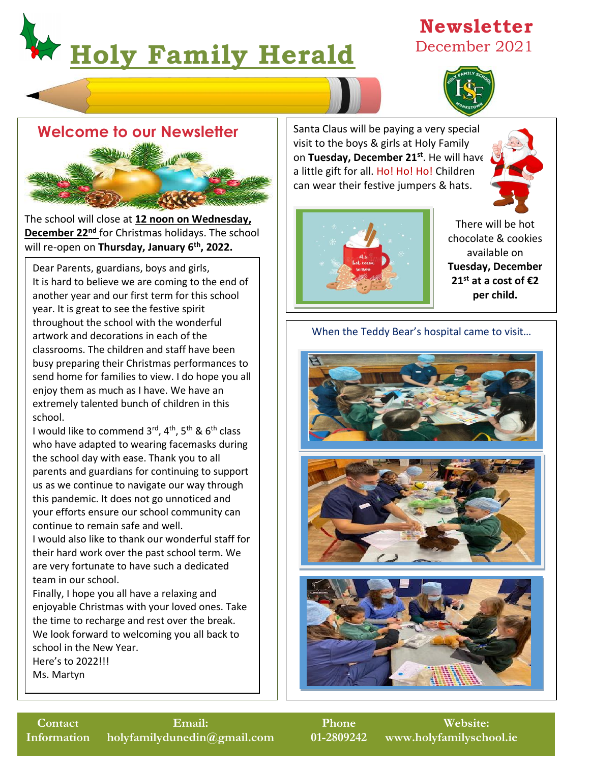# j **Holy Family Herald**

## **Newsletter** December 2021





The school will close at **12 noon on Wednesday, December 22nd** for Christmas holidays. The school will re-open on **Thursday, January 6th, 2022.**

Dear Parents, guardians, boys and girls, It is hard to believe we are coming to the end of another year and our first term for this school year. It is great to see the festive spirit throughout the school with the wonderful artwork and decorations in each of the classrooms. The children and staff have been busy preparing their Christmas performances to send home for families to view. I do hope you all enjoy them as much as I have. We have an extremely talented bunch of children in this school.

I would like to commend 3rd, 4<sup>th</sup>, 5<sup>th</sup> & 6<sup>th</sup> class who have adapted to wearing facemasks during the school day with ease. Thank you to all parents and guardians for continuing to support us as we continue to navigate our way through this pandemic. It does not go unnoticed and your efforts ensure our school community can continue to remain safe and well.

their hard work over the past school term. We  $\qquad \qquad \mid$ are very fortunate to have such a dedicated **Fig.** I would also like to thank our wonderful staff for team in our school.

> Finally, I hope you all have a relaxing and enjoyable Christmas with your loved ones. Take the time to recharge and rest over the break. We look forward to welcoming you all back to school in the New Year. Here's to 2022!!! Ms. Martyn

Santa Claus will be paying a very special visit to the boys & girls at Holy Family on **Tuesday, December 21st**. He will have a little gift for all. Ho! Ho! Ho! Children can wear their festive jumpers & hats.





There will be hot chocolate & cookies available on **Tuesday, December 21st at a cost of €2 per child.**

#### When the Teddy Bear's hospital came to visit…





**Phone 01-2809242**

**Website: www.holyfamilyschool.ie**